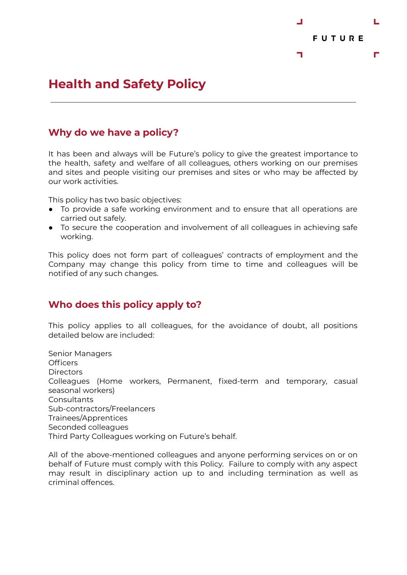

# **Health and Safety Policy**

#### **Why do we have a policy?**

It has been and always will be Future's policy to give the greatest importance to the health, safety and welfare of all colleagues, others working on our premises and sites and people visiting our premises and sites or who may be affected by our work activities.

This policy has two basic objectives:

- To provide a safe working environment and to ensure that all operations are carried out safely.
- To secure the cooperation and involvement of all colleagues in achieving safe working.

This policy does not form part of colleagues' contracts of employment and the Company may change this policy from time to time and colleagues will be notified of any such changes.

## **Who does this policy apply to?**

This policy applies to all colleagues, for the avoidance of doubt, all positions detailed below are included:

Senior Managers Officers **Directors** Colleagues (Home workers, Permanent, fixed-term and temporary, casual seasonal workers) **Consultants** Sub-contractors/Freelancers Trainees/Apprentices Seconded colleagues Third Party Colleagues working on Future's behalf.

All of the above-mentioned colleagues and anyone performing services on or on behalf of Future must comply with this Policy. Failure to comply with any aspect may result in disciplinary action up to and including termination as well as criminal offences.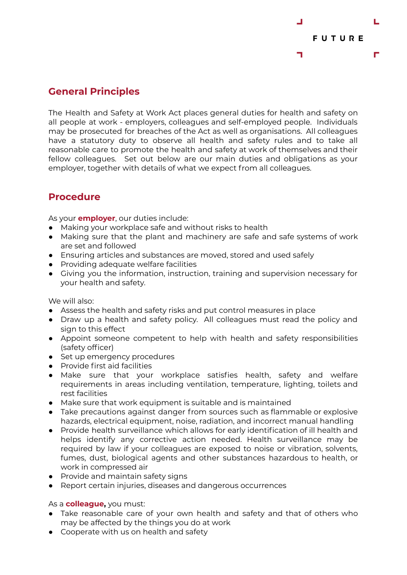

### **General Principles**

The Health and Safety at Work Act places general duties for health and safety on all people at work - employers, colleagues and self-employed people. Individuals may be prosecuted for breaches of the Act as well as organisations. All colleagues have a statutory duty to observe all health and safety rules and to take all reasonable care to promote the health and safety at work of themselves and their fellow colleagues. Set out below are our main duties and obligations as your employer, together with details of what we expect from all colleagues.

## **Procedure**

As your **employer**, our duties include:

- Making your workplace safe and without risks to health
- Making sure that the plant and machinery are safe and safe systems of work are set and followed
- Ensuring articles and substances are moved, stored and used safely
- Providing adequate welfare facilities
- Giving you the information, instruction, training and supervision necessary for your health and safety.

We will also:

- Assess the health and safety risks and put control measures in place
- Draw up a health and safety policy. All colleagues must read the policy and sign to this effect
- Appoint someone competent to help with health and safety responsibilities (safety officer)
- Set up emergency procedures
- Provide first aid facilities
- Make sure that your workplace satisfies health, safety and welfare requirements in areas including ventilation, temperature, lighting, toilets and rest facilities
- Make sure that work equipment is suitable and is maintained
- Take precautions against danger from sources such as flammable or explosive hazards, electrical equipment, noise, radiation, and incorrect manual handling
- Provide health surveillance which allows for early identification of ill health and helps identify any corrective action needed. Health surveillance may be required by law if your colleagues are exposed to noise or vibration, solvents, fumes, dust, biological agents and other substances hazardous to health, or work in compressed air
- Provide and maintain safety signs
- Report certain injuries, diseases and dangerous occurrences

As a **colleague,** you must:

- Take reasonable care of your own health and safety and that of others who may be affected by the things you do at work
- Cooperate with us on health and safety